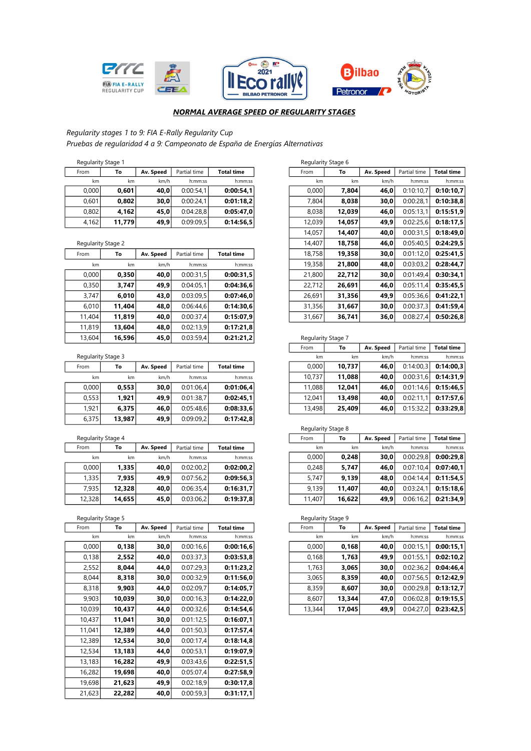





## NORMAL AVERAGE SPEED OF REGULARITY STAGES

# Regularity stages 1 to 9: FIA E-Rally Regularity Cup

Pruebas de regularidad 4 a 9: Campeonato de España de Energías Alternativas

| From  | To | Av. Speed                    | Partial time                      | <b>Total time</b> |                                     | From                                             | To | Av. Speed                                                | Partial time                       | <b>Total time</b>            |
|-------|----|------------------------------|-----------------------------------|-------------------|-------------------------------------|--------------------------------------------------|----|----------------------------------------------------------|------------------------------------|------------------------------|
| km    | km | km/h                         | h:mm:ss                           | h:mm:ss           |                                     | km                                               | km | km/h                                                     | h:mm:ss                            | h:mm:s                       |
|       |    | 40.0                         | 0:00:54.1                         |                   |                                     |                                                  |    |                                                          | 0:10:10.7                          | 0:10:10.                     |
| 0.601 |    | 30.0                         |                                   |                   |                                     |                                                  |    |                                                          | 0:00:28.1                          | 0:10:38.3                    |
| 0.802 |    | 45.0                         |                                   |                   |                                     |                                                  |    |                                                          | 0:05:13.1                          | 0:15:51                      |
| 4.162 |    | 49,9                         |                                   |                   |                                     |                                                  |    |                                                          | 0:02:25.6                          | 0:18:17.                     |
|       |    | Regularity Stage 1<br>0.0001 | 0.601<br>0.802<br>4.162<br>11.779 |                   | 0:00:24.1<br>0:04:28.8<br>0:09:09.5 | 0:00:54.1<br>0:01:18.2<br>0:05:47.0<br>0:14:56.5 |    | Regularity Stage 6<br>0.0001<br>7.804<br>8.038<br>12.039 | 7.804<br>8.038<br>12.039<br>14.057 | 46.0<br>30.0<br>46.0<br>49.9 |

|        | Regularity Stage 2 |           |              |                   |
|--------|--------------------|-----------|--------------|-------------------|
| From   | To                 | Av. Speed | Partial time | <b>Total time</b> |
| km     | km                 | km/h      | h:mm:ss      | h:mm:ss           |
| 0,000  | 0,350              | 40,0      | 0:00:31,5    | 0:00:31,5         |
| 0,350  | 3,747              | 49,9      | 0:04:05,1    | 0:04:36,6         |
| 3,747  | 6,010              | 43,0      | 0:03:09,5    | 0:07:46,0         |
| 6,010  | 11,404             | 48,0      | 0:06:44,6    | 0:14:30.6         |
| 11,404 | 11,819             | 40,0      | 0:00:37,4    | 0:15:07,9         |
| 11.819 | 13,604             | 48,0      | 0:02:13.9    | 0:17:21.8         |

| $\sim$ | _      |           |              |                   |
|--------|--------|-----------|--------------|-------------------|
| From   | To     | Av. Speed | Partial time | <b>Total time</b> |
| km     | km     | km/h      | h:mm:ss      | h:mm:ss           |
| 0,000  | 0,553  | 30,0      | 0:01:06,4    | 0:01:06,4         |
| 0,553  | 1,921  | 49,9      | 0:01:38,7    | 0:02:45,1         |
| 1,921  | 6,375  | 46,0      | 0:05:48,6    | 0:08:33,6         |
| 6,375  | 13,987 | 49,9      | 0:09:09,2    | 0:17:42,8         |

| From   | To     | Av. Speed<br>Partial time |           | <b>Total time</b> |
|--------|--------|---------------------------|-----------|-------------------|
| km     | km     | km/h                      | h:mm:ss   | h:mm:ss           |
| 0,000  | 1,335  | 40,0                      | 0:02:00.2 | 0:02:00,2         |
| 1,335  | 7,935  | 49,9                      | 0:07:56.2 | 0:09:56,3         |
| 7,935  | 12,328 | 40,0                      | 0:06:35,4 | 0:16:31.7         |
| 12,328 | 14,655 | 45,0                      | 0:03:06.2 | 0:19:37.8         |
|        |        |                           |           |                   |

| From   | To     | Av. Speed | Partial time | <b>Total time</b> | From   | To     | Av. Speed | Partial time |
|--------|--------|-----------|--------------|-------------------|--------|--------|-----------|--------------|
| km     | km     | km/h      | h:mm:ss      | h:mm:ss           | km     | km     | km/h      | h:mm:ss      |
| 0,000  | 0,138  | 30,0      | 0:00:16,6    | 0:00:16,6         | 0,000  | 0,168  | 40,0      | 0:00:15.1    |
| 0,138  | 2,552  | 40,0      | 0:03:37,3    | 0:03:53,8         | 0,168  | 1,763  | 49,9      | 0:01:55.1    |
| 2,552  | 8,044  | 44,0      | 0:07:29.3    | 0:11:23.2         | 1,763  | 3,065  | 30,0      | 0:02:36.2    |
| 8,044  | 8,318  | 30,0      | 0:00:32,9    | 0:11:56,0         | 3,065  | 8,359  | 40,0      | 0:07:56.5    |
| 8,318  | 9,903  | 44,0      | 0:02:09.7    | 0:14:05.7         | 8,359  | 8,607  | 30,0      | 0:00:29.8    |
| 9,903  | 10,039 | 30,0      | 0:00:16.3    | 0:14:22.0         | 8,607  | 13,344 | 47,0      | 0:06:02,8    |
| 10,039 | 10,437 | 44,0      | 0:00:32,6    | 0:14:54.6         | 13,344 | 17,045 | 49,9      | 0:04:27,0    |
| 10,437 | 11,041 | 30,0      | 0:01:12,5    | 0:16:07,1         |        |        |           |              |
| 11,041 | 12,389 | 44,0      | 0:01:50.3    | 0:17:57,4         |        |        |           |              |
| 12,389 | 12,534 | 30,0      | 0:00:17,4    | 0:18:14.8         |        |        |           |              |
| 12,534 | 13,183 | 44,0      | 0:00:53,1    | 0:19:07,9         |        |        |           |              |
| 13,183 | 16,282 | 49,9      | 0:03:43,6    | 0:22:51,5         |        |        |           |              |
| 16,282 | 19,698 | 40,0      | 0:05:07,4    | 0:27:58.9         |        |        |           |              |
| 19,698 | 21,623 | 49,9      | 0:02:18.9    | 0:30:17,8         |        |        |           |              |
| 21,623 | 22,282 | 40,0      | 0:00:59.3    | 0:31:17,1         |        |        |           |              |

| Regularity Stage 1 |                    |           |              |                   |        | Regularity Stage 6 |           |              |                   |
|--------------------|--------------------|-----------|--------------|-------------------|--------|--------------------|-----------|--------------|-------------------|
| From               | To                 | Av. Speed | Partial time | <b>Total time</b> | From   | To                 | Av. Speed | Partial time | <b>Total time</b> |
| km                 | km                 | km/h      | h:mm:ss      | h:mm:ss           | km     | km                 | km/h      | h:mm:ss      | h:mm:ss           |
| 0,000              | 0,601              | 40,0      | 0:00:54,1    | 0:00:54,1         | 0,000  | 7,804              | 46,0      | 0:10:10.7    | 0:10:10.7         |
| 0,601              | 0,802              | 30,0      | 0:00:24.1    | 0:01:18.2         | 7.804  | 8,038              | 30,0      | 0:00:28.1    | 0:10:38.8         |
| 0,802              | 4,162              | 45,0      | 0:04:28,8    | 0:05:47,0         | 8,038  | 12,039             | 46,0      | 0:05:13,1    | 0:15:51.9         |
| 4,162              | 11,779             | 49,9      | 0:09:09.5    | 0:14:56,5         | 12,039 | 14,057             | 49,9      | 0:02:25.6    | 0:18:17.5         |
|                    |                    |           |              |                   | 14,057 | 14,407             | 40,0      | 0:00:31.5    | 0:18:49,0         |
|                    | Regularity Stage 2 |           |              |                   | 14,407 | 18,758             | 46,0      | 0:05:40.5    | 0:24:29.5         |
| From               | To                 | Av. Speed | Partial time | <b>Total time</b> | 18,758 | 19,358             | 30,0      | 0:01:12,0    | 0:25:41,5         |
| km                 | km                 | km/h      | h:mm:ss      | h:mm:ss           | 19,358 | 21,800             | 48,0      | 0:03:03.2    | 0:28:44,7         |
| 0,000              | 0,350              | 40,0      | 0:00:31,5    | 0:00:31,5         | 21,800 | 22,712             | 30,0      | 0:01:49,4    | 0:30:34,1         |
| 0,350              | 3,747              | 49,9      | 0:04:05.1    | 0:04:36,6         | 22,712 | 26,691             | 46,0      | 0:05:11.4    | 0:35:45.5         |
| 3,747              | 6,010              | 43,0      | 0:03:09,5    | 0:07:46,0         | 26,691 | 31,356             | 49,9      | 0:05:36.6    | 0:41:22.1         |
| 6,010              | 11,404             | 48,0      | 0.06:44.6    | 0:14:30,6         | 31,356 | 31,667             | 30,0      | 0:00:37.3    | 0:41:59,4         |
| 11,404             | 11,819             | 40,0      | 0:00:37,4    | 0:15:07,9         | 31,667 | 36,741             | 36,0      | 0:08:27,4    | 0:50:26.8         |

| 13,604 | 16,596             | 45,0      | 0:03:59.4    | 0:21:21.2         | Regularity Stage 7 |        |           |              |                   |
|--------|--------------------|-----------|--------------|-------------------|--------------------|--------|-----------|--------------|-------------------|
|        |                    |           |              |                   | From               | To     | Av. Speed | Partial time | <b>Total time</b> |
|        | Regularity Stage 3 |           |              |                   | km                 | km     | km/h      | h:mm:ss      | h:mm:ss           |
| From   | To                 | Av. Speed | Partial time | <b>Total time</b> | 0.0001             | 10.737 | 46,0      | 0:14:00.3    | 0:14:00,3         |
| km     | km                 | km/h      | h:mm:ss      | h:mm:ss           | 10.737             | 11.088 | 40,0      | 0:00:31,6    | 0:14:31.9         |
| 0.000  | 0.553              | 30,0      | 0:01:06.4    | 0:01:06.4         | 11.088             | 12.041 | 46.0      | 0:01:14.6    | 0:15:46,5         |
| 0,553  | 1.921              | 49,9      | 0:01:38.7    | 0:02:45.1         | 12.041             | 13,498 | 40.0      | 0:02:11.1    | 0:17:57.6         |
| 1,921  | 6,375              | 46,0      | 0:05:48.6    | 0:08:33,6         | 13,498             | 25,409 | 46,0      | 0:15:32.2    | 0:33:29.8         |

|        | Regularity Stage 4 |           |              |                   |
|--------|--------------------|-----------|--------------|-------------------|
| From   | To                 | Av. Speed | Partial time | <b>Total time</b> |
| km     | km                 | km/h      | h:mm:ss      | h:mm:ss           |
| 0.0001 | 1.335              | 40,0      | 0:02:00.2    | 0:02:00.2         |
| 1,335  | 7.935              | 49,9      | 0:07:56,2    | 0:09:56.3         |
| 7,935  | 12,328             | 40,0      | 0:06:35.4    | 0:16:31,7         |
| 12,328 | 14.655             | 45,0      | 0:03:06,2    | 0:19:37.8         |

|        | eqularity Stage 5 |           |              |                   |  | Regularity Stage 9 |        |           |              |                   |  |
|--------|-------------------|-----------|--------------|-------------------|--|--------------------|--------|-----------|--------------|-------------------|--|
| rom    | To                | Av. Speed | Partial time | <b>Total time</b> |  | From               | To     | Av. Speed | Partial time | <b>Total time</b> |  |
| km     | km                | km/h      | h:mm:ss      | h:mm:ss           |  | km                 | km     | km/h      | h:mm:ss      | h:mm:ss           |  |
| 0,000  | 0,138             | 30,0      | 0:00:16,6    | 0:00:16,6         |  | 0.000              | 0,168  | 40,0      | 0:00:15.1    | 0:00:15,1         |  |
| 0,138  | 2,552             | 40,0      | 0:03:37,3    | 0:03:53,8         |  | 0,168              | 1,763  | 49,9      | 0:01:55.1    | 0:02:10,2         |  |
| 2,552  | 8,044             | 44,0      | 0:07:29.3    | 0:11:23,2         |  | 1,763              | 3,065  | 30,0      | 0:02:36.2    | 0:04:46,4         |  |
| 8,044  | 8,318             | 30,0      | 0:00:32,9    | 0:11:56,0         |  | 3,065              | 8,359  | 40,0      | 0:07:56.5    | 0:12:42.9         |  |
| 8,318  | 9,903             | 44,0      | 0:02:09.7    | 0:14:05.7         |  | 8,359              | 8,607  | 30,0      | 0:00:29.8    | 0:13:12,7         |  |
| 9,903  | 10,039            | 30,0      | 0:00:16.3    | 0:14:22.0         |  | 8,607              | 13.344 | 47,0      | 0:06:02.8    | 0:19:15.5         |  |
| 10.039 | 10,437            | 44,0      | 0:00:32,6    | 0:14:54,6         |  | 13,344             | 17,045 | 49,9      | 0:04:27,0    | 0:23:42,5         |  |